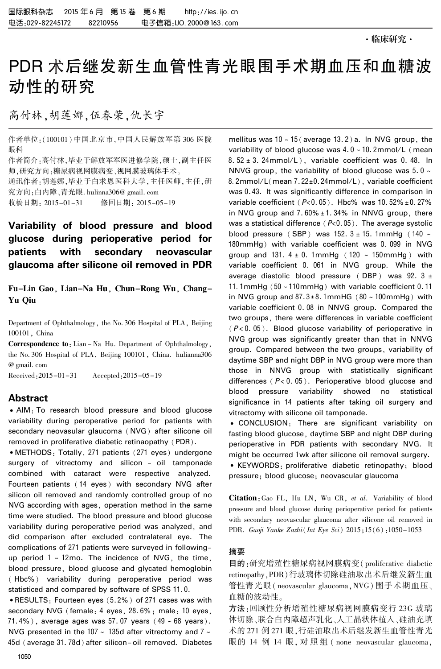# PDR 术后继发新生血管性青光眼围手术期血压和血糖波 动性的研究

高付林,胡莲娜,伍春荣,仇长宇

作者单位:(100101) 中国北京市,中国人民解放军第 306 医院 眼科

作者简介:高付林,毕业于解放军军医进修学院,硕士,副主任医 师,研究方向:糖尿病视网膜病变、视网膜玻璃体手术。 通讯作者:胡莲娜,毕业于白求恩医科大学,主任医师,主任,研 究方向:白内障、青光眼. hulinna306@ gmail. com 收稿日期: 2015-01-31 修回日期: 2015-05-19

Variability of blood pressure and blood glucose during perioperative period for patients with secondary neovascular glaucoma after silicone oil removed in PDR

Fu-Lin Gao, Lian-Na Hu, Chun-Rong Wu, Chang-Yu Qiu

Department of Ophthalmology, the No. 306 Hospital of PLA, Beijing 100101, China

Correspondence to: Lian - Na Hu. Department of Ophthalmology, the No. 306 Hospital of PLA, Beijing 100101, China. hulianna306 @ gmail. com

Received:2015-01-31 Accepted:2015-05-19

# Abstract

• AIM: To research blood pressure and blood glucose variability during peroperative period for patients with secondary neovasular glaucoma (NVG) after silicone oil removed in proliferative diabetic retinaopathy (PDR).

• METHODS: Totally, 271 patients (271 eyes) undergone surgery of vitrectomy and silicon - oil tamponade combined with cataract were respective analyzed. Fourteen patients ( 14 eyes ) with secondary NVG after silicon oil removed and randomly controlled group of no NVG according with ages, operation method in the same time were studied. The blood pressure and blood glucose variability during peroperative period was analyzed, and did comparison after excluded contralateral eye. The complications of 271 patients were surveyed in followingup period  $1 \sim 12$ mo. The incidence of NVG, the time, blood pressure, blood glucose and glycated hemoglobin ( Hbc%) variability during peroperative period was statisticed and compared by software of SPSS 11. 0.

<sup>誗</sup>RESULTS: Fourteen eyes (5. 2%) of 271 cases was with secondary NVG (female: 4 eyes, 28.6%; male: 10 eyes, 71.4%), average ages was 57.07 years  $(49 ~ 68$  years). NVG presented in the 107  $\sim$  135d after vitrectomy and 7  $\sim$ 45d (average 31. 78d) after silicon- oil removed. Diabetes

mellitus was  $10 \times 15$  (average 13.2) a. In NVG group, the variability of blood glucose was  $4.0 \times 10.2$ mmol/L (mean 8.  $52 \pm 3$ . 24mmol/L), variable coefficient was 0. 48. In NNVG group, the variability of blood glucose was  $5.0 \sim$ 8. 2mmol/L(mean 7.22±0. 24mmol/L), variable coefficient was 0. 43. It was significantly difference in comparison in variable coefficient  $(P< 0.05)$ . Hbc% was 10.52%  $\pm 0.27$ % in NVG group and  $7.60\% \pm 1.34\%$  in NNVG group, there was a statistical difference ( $P<0.05$ ). The average systolic blood pressure (SBP) was  $152.3 \pm 15.$  1mmHg ( $140 \sim$ 180mmHg) with variable coefficient was 0. 099 in NVG group and 131.  $4 \pm 0$ . 1mmHg (120 ~ 150mmHg) with variable coefficient 0. 061 in NVG group. While the average diastolic blood pressure (DBP) was 92.  $3 \pm$ 11. 1mmHg  $(50 - 110$ mmHg) with variable coefficient 0. 11 in NVG group and  $87.3 \pm 8.1$ mmHG ( $80 \sim 100$ mmHg) with variable coefficient 0. 08 in NNVG group. Compared the two groups, there were differences in variable coefficient  $(P< 0.05)$ . Blood glucose variability of perioperative in NVG group was significantly greater than that in NNVG group. Compared between the two groups, variability of daytime SBP and night DBP in NVG group were more than those in NNVG group with statistically significant differences ( $P < 0.05$ ). Perioperative blood glucose and blood pressure variability showed no statistical significance in 14 patients after taking oil surgery and vitrectomy with silicone oil tamponade.

<sup>誗</sup> CONCLUSION: There are significant variability on fasting blood glucose, daytime SBP and night DBP during perioperative in PDR patients with secondary NVG. It might be occurred 1wk after silicone oil removal surgery.

<sup>誗</sup> KEYWORDS: proliferative diabetic retinopathy; blood pressure; blood glucose; neovascular glaucoma

Citation: Gao FL, Hu LN, Wu CR, et al. Variability of blood pressure and blood glucose during perioperative period for patients with secondary neovascular glaucoma after silicone oil removed in PDR. Guoji Yanke Zazhi(Int Eye Sci) 2015;15(6):1050-1053

#### 摘要

目的:研究增殖性糖尿病视网膜病变( proliferative diabetic retinopathy,PDR)行玻璃体切除硅油取出术后继发新生血 管性青光眼( neovascular glaucoma,NVG) 围手术期血压、 血糖的波动性。

方法:回顾性分析增殖性糖尿病视网膜病变行 23G 玻璃 体切除、联合白内障超声乳化、人工晶状体植入、硅油充填 术的 271 例 271 眼,行硅油取出术后继发新生血管性青光 眼的 14 例 14 眼, 对 照 组 ( none neovascular glaucoma,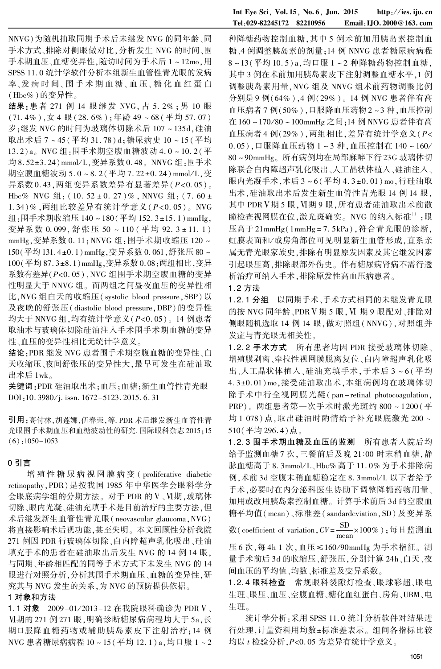NNVG)为随机抽取同期手术后未继发 NVG 的同年龄、同 手术方式、排除对侧眼做对比,分析发生 NVG 的时间、围 手术期血压、血糖变异性,随访时间为手术后 1 ~ 12mo,用 SPSS 11. 0 统计学软件分析本组新生血管性青光眼的发病 率、发病时间、围手术期血糖、血压、糖化血红蛋白 (Hbc% )的变异性。

结果:患者 271 例 14 眼 继 发 NVG, 占 5. 2% ; 男 10 眼  $(71.4\%)$ , 女 4 眼 $(28.6\%)$ ; 年龄 49 ~ 68 (平均 57.07) 岁;继发 NVG 的时间为玻璃体切除术后 107 ~ 135d,硅油 取出术后 7 ~ 45(平均 31. 78) d;糖尿病史 10 ~ 15 (平均 13. 2)a。 NVG 组:围手术期空腹血糖波动 4. 0 ~ 10. 2(平 均 8.52±3. 24) mmol/L,变异系数 0.48。 NNVG 组:围手术 期空腹血糖波动 5.0~8.2(平均 7.22±0.24) mmol/L,变 异系数  $0.43.$  两组变异系数差异有显著差异 $(P< 0.05)$ 。 Hbc% NVG 组:  $(10.52 \pm 0.27)\%$ , NNVG 组:  $(7.60 \pm 10^{-10})$ 1.34)% , 两组比较差异有统计学意义( P<0.05)。 NVG 组:围手术期收缩压 140~180(平均 152.3±15.1)mmHg, 变异系数 0.099, 舒张压 50~110 (平均 92.3±11.1) mmHg,变异系数 0. 11;NNVG 组:围手术期收缩压 120 ~ 150(平均131.4±0.1)mmHg,变异系数 0.061,舒张压 80~ 100 (平均 87.3±8.1) mmHg, 变异系数 0.08; 两组相比, 变异 系数有差异(P<0. 05),NVG 组围手术期空腹血糖的变异 性明显大于 NNVG 组。 而两组之间昼夜血压的变异性相 比,NVG 组白天的收缩压( systolic blood pressure,SBP) 以 及夜晚的舒张压( diastolic blood pressure,DBP) 的变异性 均大于 NNVG 组,均有统计学意义(P<0. 05)。 14 例患者 取油术与玻璃体切除硅油注入手术围手术期血糖的变异 性、血压的变异性相比无统计学意义。

结论:PDR 继发 NVG 患者围手术期空腹血糖的变异性、白 天收缩压、夜间舒张压的变异性大,最早可发生在硅油取 出术后 1wk。

关键词:PDR 硅油取出术;血压;血糖;新生血管性青光眼 DOI:10. 3980/j. issn. 1672-5123. 2015. 6. 31

引用:高付林,胡莲娜,伍春荣,等. PDR 术后继发新生血管性青 光眼围手术期血压和血糖波动性的研究. 国际眼科杂志 2015;15  $(6):1050-1053$ 

#### 0 引言

增 殖 性 糖 尿 病 视 网 膜 病 变 ( proliferative diabetic retinopathy,PDR) 是按我国 1985 年中华医学会眼科学分 会眼底病学组的分期方法。对于 PDR 的 V、VI期, 玻璃体 切除、眼内光凝、硅油充填手术是目前治疗的主要方法,但 术后继发新生血管性青光眼( neovascular glaucoma,NVG) 将直接影响术后视功能,甚至失明。 本文回顾性分析我院 271 例因 PDR 行玻璃体切除、白内障超声乳化吸出、硅油 填充手术的患者在硅油取出后发生 NVG 的 14 例 14 眼, 与同期、年龄相匹配的同等手术方式下未发生 NVG 的 14 眼进行对照分析,分析其围手术期血压、血糖的变异性,研 究其与 NVG 发生的关系,为 NVG 的预防提供依据。

#### 1 对象和方法

1.1 对象 2009-01/2013-12 在我院眼科确诊为 PDR V 、 遇期的 271 例 271 眼,明确诊断糖尿病病程均大于 5a,长 期口服降血糖药物或辅助胰岛素皮下注射治疗;14 例 NVG 患者糖尿病病程 10 ~ 15(平均 12. 1) a,均口服 1 ~ 2

种降糖药物控制血糖,其中 5 例术前加用胰岛素控制血 糖、4 例调整胰岛素的剂量;14 例 NNVG 患者糖尿病病程 8 ~ 13(平均 10. 5) a,均口服 1 ~ 2 种降糖药物控制血糖, 其中 3 例在术前加用胰岛素皮下注射调整血糖水平,1 例 调整胰岛素用量,NVG 组及 NNVG 组术前药物调整比例 分别是 9 例(64% ),4 例(29% )。 14 例 NVG 患者伴有高 血压病者 7 例(50% ),口服降血压药物 2 ~ 3 种,血压控制 在 160 ~ 170 / 80 ~ 100mmHg 之间;14 例 NNVG 患者伴有高 血压病者 4 例(29% ),两组相比,差异有统计学意义(P< 0. 05),口服降血压药物 1 ~ 3 种,血压控制在 140 ~ 160 / 80 ~ 90mmHg。 所有病例均在局部麻醉下行23G 玻璃体切 除联合白内障超声乳化吸出、人工晶状体植入、硅油注入、 眼内光凝手术,术后 3~6(平均 4.3±0.01) mo,行硅油取 出术,硅油取出术后发生新生血管性青光眼 14 例 14 眼, 其中 PDR V 期 5 眼, V 期 9 眼, 所有患者硅油取出术前散 瞳检查视网膜在位,激光斑确实。NVG 的纳入标准<sup>[1]</sup> :眼 压高于 21mmHg(1mmHg = 7. 5kPa),符合青光眼的诊断, 虹膜表面和/ 或房角部位可见明显新生血管形成,直系亲 属无青光眼家族史,排除有明显原发因素及其它继发因素 引起眼压高,排除眼部外伤史。 伴有糖尿病肾病不需行透 析治疗可纳入手术,排除原发性高血压病患者。

### 1. 2 方法

1. 2. 1 分组 以同期手术、手术方式相同的未继发青光眼 的按 NVG 同年龄、PDR V 期 5 眼, VI 期 9 眼配对、排除对 侧眼随机选取 14 例 14 眼,做对照组(NNVG),对照组并 发症与青光眼无相关性。

1. 2. 2 手术方式 所有患者均因 PDR 接受玻璃体切除、 增殖膜剥离、牵拉性视网膜脱离复位、白内障超声乳化吸 出、人工晶状体植入、硅油充填手术,于术后 3 ~ 6 (平均 4.3±0.01)mo,接受硅油取出术,本组病例均在玻璃体切 除手术中行全视网膜光凝(pan-retinal photocoagulation, PRP)。 两组患者第一次手术时激光斑约 800 ~ 1200 (平 均 1 078) 点,取出硅油时酌情给予补充眼底激光 200 ~ 510(平均 296. 4)点。

1. 2. 3 围手术期血糖及血压的监测 所有患者入院后均 给予监测血糖 7 次,三餐前后及晚 21:00 时末稍血糖,静 脉血糖高于 8.3mmol/L、Hbc% 高于 11.0% 为手术排除病 例,术前 3d 空腹末稍血糖稳定在 8.3mmol/L 以下者给予 手术,必要时在内分泌科医生协助下调整降糖药物用量、 加用或改用胰岛素控制血糖。 计算手术前后 3d 的空腹血 糖平均值( mean)、标准差( sandardeviation,SD) 及变异系

数(coefficient of variation,  $CV = \frac{SD}{max}$  $\frac{55}{\text{mean}}$ ×100%);每日监测血

压 6 次,每 4h 1 次,血压≤160/90mmHg 为手术指征。测 量手术前后 3d 的收缩压、舒张压,分别计算 24h、白天、夜 间血压的平均值、均数、标准差及变异系数。

1. 2. 4 眼科检查 常规眼科裂隙灯检查、眼球彩超、眼电 生理、眼压、血压、空腹血糖、糖化血红蛋白、房角、UBM、电 生理。

统计学分析:采用 SPSS 11. 0 统计分析软件对结果进 行处理,计量资料用均数±标准差表示。 组间各指标比较 均以 t 检验分析,P<0. 05 为差异有统计学意义。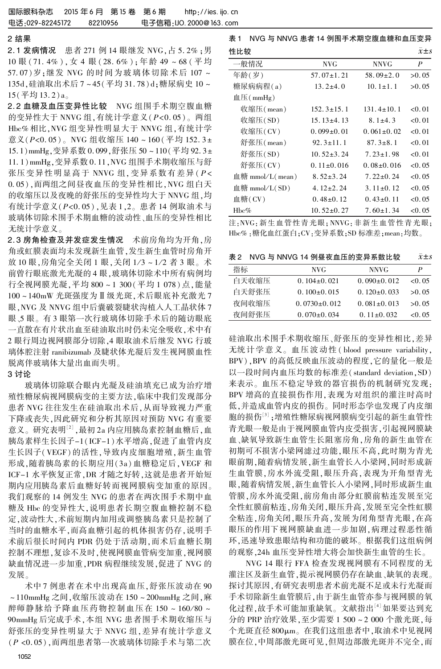#### 2 结果

2. 1 发病情况 患者 271 例 14 眼继发 NVG,占 5. 2% ;男 10 眼 ( 71. 4% ),女 4 眼 ( 28. 6% );年龄 49 ~ 68 ( 平 均 57.07)岁;继发 NVG 的时间为玻璃体切除术后 107 ~ 135d,硅油取出术后 7 ~ 45(平均 31. 78) d;糖尿病史 10 ~ 15(平均 13. 2)a。

2.2 血糖及血压变异性比较 NVG 组围手术期空腹血糖 的变异性大于 NNVG 组,有统计学意义(P<0. 05)。 两组 Hbc% 相比,NVG 组变异性明显大于 NNVG 组,有统计学 意义( $P < 0.05$ )。 NVG 组收缩压 140~160 (平均 152.3± 15.1)mmHg,变异系数 0.099,舒张压 50~110(平均 92.3± 11. 1) mmHg, 变异系数 0. 11, NVG 组围手术期收缩压与舒 张压变异性明显高于 NNVG 组,变异系数有差异(P< 0.05),而两组之间昼夜血压的变异性相比,NVG 组白天 的收缩压以及夜晚的舒张压的变异性均大于 NNVG 组,均 有统计学意义(P<0. 05),见表 1,2。 患者 14 例取油术与 玻璃体切除术围手术期血糖的波动性、血压的变异性相比 无统计学意义。

2. 3 房角检查及并发症发生情况 术前房角均为开角,房 角或虹膜表面均未发现新生血管,发生新生血管时房角开 放 10 眼,房角完全关闭 1 眼,关闭 1/3 ~ 1/2 者 3 眼。术 前曾行眼底激光光凝的 4 眼,玻璃体切除术中所有病例均 行全视网膜光凝,平均 800 ~ 1 300(平均 1 078) 点,能量  $100 \sim 140 \text{mW K}$ 斑强度为Ⅱ级光斑,术后眼底补充激光 7 眼,NVG 及 NNVG 组中后囊破裂睫状沟植入人工晶状体 7 眼、5 眼。 有 3 眼第一次行玻璃体切除手术后的随访眼底 一直散在有片状出血至硅油取出时仍未完全吸收,术中有 2 眼行周边视网膜部分切除,4 眼取油术后继发 NVG 行玻 璃体腔注射 ranibizumab 及睫状体光凝后发生视网膜血性 脱离伴玻璃体大量出血而失明。

## 3 讨论

玻璃体切除联合眼内光凝及硅油填充已成为治疗增 殖性糖尿病视网膜病变的主要方法,临床中我们发现部分 患者 NVG 往往发生在硅油取出术后,从而导致视力严重 下降或丧失,因此研究和分析其原因对预防 NVG 有重要 意义。研究表明<sup>[2]</sup> ,最初 2a 内应用胰岛素控制血糖后 ,血 胰岛素样生长因子-1(ICF-1)水平增高,促进了血管内皮 生长因子(VEGF) 的活性,导致内皮细胞增殖,新生血管 形成,随着胰岛素的长期应用(3a) 血糖稳定后,VEGF 和 ICF-1 水平恢复正常,DR 才随之好转,这就是患者开始短 期内应用胰岛素后血糖好转而视网膜病变加重的原因。 我们观察的 14 例发生 NVG 的患者在两次围手术期中血 糖及 Hbc 的变异性大,说明患者长期空腹血糖控制不稳 定,波动性大,术前短期内加用或调整胰岛素只是控制了 当时的血糖水平,而高血糖引起的机体损害仍存,说明手 术前后很长时间内 PDR 仍处于活动期,而术后血糖长期 控制不理想,复诊不及时,使视网膜血管病变加重,视网膜 缺血情况进一步加重,PDR 病程继续发展,促进了 NVG 的 发展。

术中 7 例患者在术中出现高血压,舒张压波动在 90 ~ 110mmHg 之间,收缩压波动在 150 ~ 200mmHg 之间,麻 醉师静脉给予降血压药物控制血压在 150~160/80~ 90mmHg 后完成手术,本组 NVG 患者围手术期收缩压与 舒张压的变异性明显大于 NNVG 组,差异有统计学意义 (P <0. 05),而两组患者第一次玻璃体切除手术与第二次

| NVG 与 NNVG 患者 14 例围手术期空腹血糖和血压变异<br>表 1 |                  |                  |                 |  |
|----------------------------------------|------------------|------------------|-----------------|--|
| 性比较                                    |                  |                  | $\bar{x} \pm s$ |  |
| 一般情况                                   | NVG              | NNVG             | P               |  |
| 年龄(岁)                                  | $57.07 \pm 1.21$ | $58.09 \pm 2.0$  | >0.05           |  |
| 糖尿病病程(a)                               | $13.2 \pm 4.0$   | $10.1 \pm 1.1$   | >0.05           |  |
| 血压(mmHg)                               |                  |                  |                 |  |
| 收缩压 $($ mean $)$                       | $152.3 \pm 15.1$ | $131.4 \pm 10.1$ | < 0.01          |  |
| 收缩压(SD)                                | $15.13 \pm 4.13$ | $8.1 \pm 4.3$    | < 0.01          |  |
| 收缩压(CV)                                | $0.099 \pm 0.01$ | $0.061 \pm 0.02$ | < 0.01          |  |
| 舒张压(mean)                              | $92.3 \pm 11.1$  | $87.3 \pm 8.1$   | < 0.01          |  |
| 舒张压(SD)                                | $10.52 \pm 3.24$ | $7.23 \pm 1.98$  | < 0.01          |  |
| 舒张压( CV)                               | $0.11\pm0.016$   | $0.08 \pm 0.016$ | < 0.05          |  |
| 血糖 mmol/ $L$ (mean)                    | $8.52 \pm 3.24$  | $7.22 \pm 0.24$  | < 0.05          |  |
| 血糖 mmol/L(SD)                          | $4.12 \pm 2.24$  | $3.11\pm0.12$    | < 0.05          |  |
| 血糖 $(CV)$                              | $0.48\pm0.12$    | $0.43\pm0.11$    | < 0.05          |  |
| $Hbc\%$                                | $10.52 \pm 0.27$ | $7.60 \pm 1.34$  | < 0.05          |  |

注:NVG:新生血管性青光眼;NNVG:非新生血管性青光眼; Hbc% :糖化血红蛋白;CV:变异系数;SD 标准差;mean:均数。

表 2 NVG 与 NNVG 14 例昼夜血压的变异系数比较  $\bar{x}$ ±s

| 指标    | NVG.              | <b>NNVG</b>       | Ρ      |
|-------|-------------------|-------------------|--------|
| 白天收缩压 | $0.104 \pm 0.021$ | $0.090\pm0.012$   | < 0.05 |
| 白天舒张压 | $0.100\pm0.015$   | $0.120\pm0.033$   | >0.05  |
| 夜间收缩压 | $0.0730\pm0.012$  | $0.081 \pm 0.013$ | >0.05  |
| 夜间舒张压 | $0.070\pm0.034$   | $0.11 \pm 0.032$  | <0.05  |

硅油取出术围手术期收缩压、舒张压的变异性相比,差异 无统计学意义。 血压波动性 ( blood pressure variability, BPV),BPV 的高低反映血压波动的程度,它的量化一般是 以一段时间内血压均数的标准差( standard deviation,SD) 来表示。 血压不稳定导致的器官损伤的机制研究发现: BPV 增高的直接损伤作用,表现为对组织的灌注时高时 低,并造成血管内皮的损伤。 同时形态学也发现了内皮细 胞的损伤'<sup>。</sup>';增殖性糖尿病视网膜病变引起的新生血管性 青光眼一般是由于视网膜血管内皮受损害,引起视网膜缺 血、缺氧导致新生血管生长阻塞房角,房角的新生血管在 初期可不损害小梁网滤过功能,眼压不高,此时期为青光 眼前期,随着病情发展,新生血管长入小梁网,同时形成新 生血管膜,房水外流受阻,眼压升高,表现为开角型青光 眼,随着病情发展,新生血管长入小梁网,同时形成新生血 管膜,房水外流受阻,前房角由部分虹膜前粘连发展至完 全性虹膜前粘连,房角关闭,眼压升高,发展至完全性虹膜 全粘连,房角关闭,眼压升高,发展为闭角型青光眼,在高 眼压的作用下视网膜缺血进一步加剧,病理过程恶性循 环,迅速导致患眼结构和功能的破坏。 根据我们这组病例 的观察,24h 血压变异性增大将会加快新生血管的生长。

NVG 14 眼行 FFA 检查发现视网膜有不同程度的无 灌注区及新生血管,提示视网膜仍存在缺血、缺氧的表现。 探讨其原因,有研究表明患者术前光凝不足或未行光凝而 手术切除新生血管膜后,由于新生血管亦参与视网膜的氧 化过程,故手术可能加重缺氧。 文献指出[4]如果要达到充 分的 PRP 治疗效果,至少需要 1 500 ~ 2 000 个激光斑,每 个光斑直径 800µm。在我们这组患者中,取油术中见视网 膜在位,中周部激光斑可见,但周边部激光斑并不完全,而